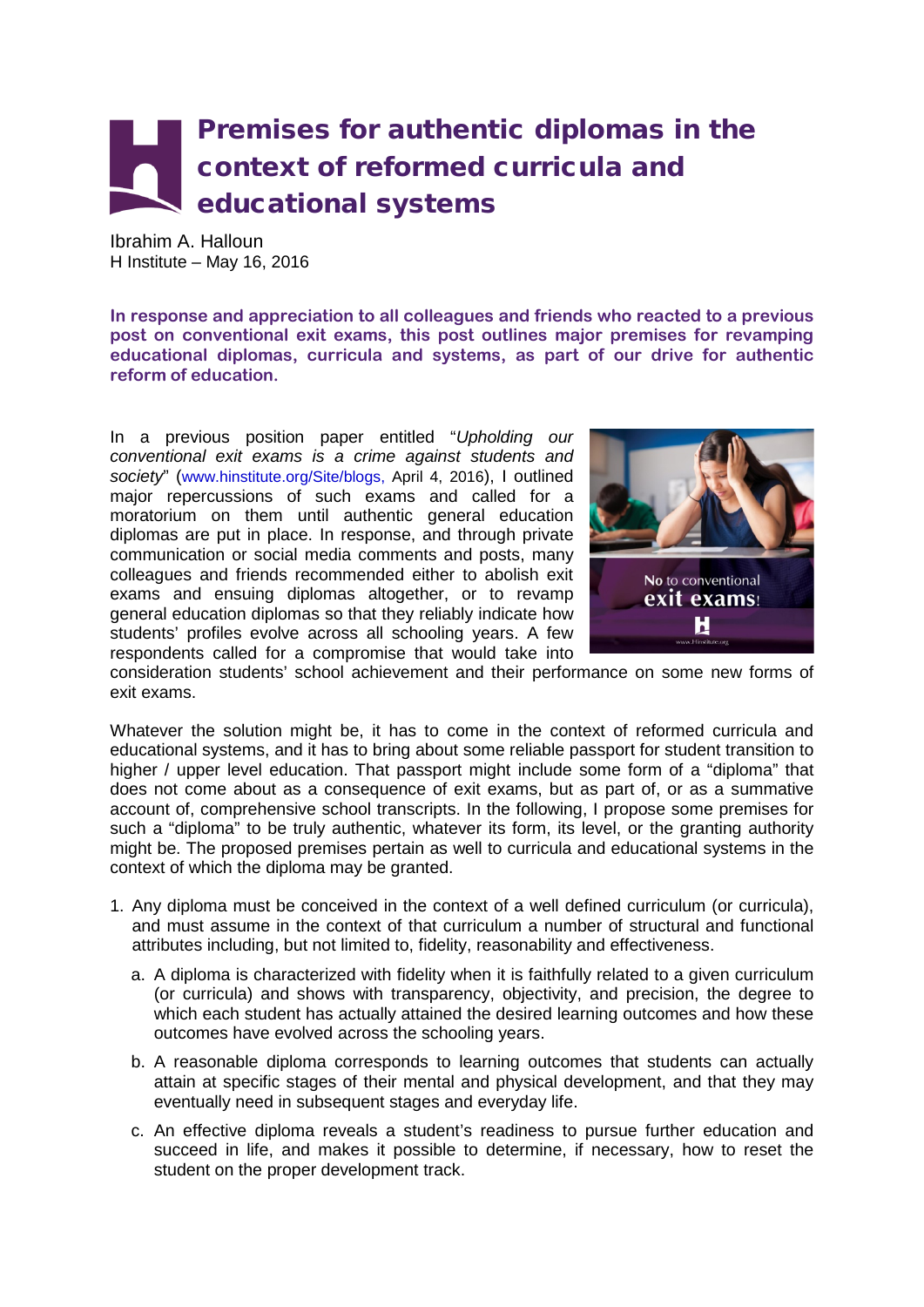## Premises for authentic diplomas in the context of reformed curricula and educational systems

Ibrahim A. Halloun H Institute – May 16, 2016

**In response and appreciation to all colleagues and friends who reacted to a previous post on conventional exit exams, this post outlines major premises for revamping educational diplomas, curricula and systems, as part of our drive for authentic reform of education.**

In a previous position paper entitled "*Upholding our conventional exit exams is a crime against students and society*" (www.hinstitute.org/Site/blogs, April 4, 2016), I outlined major repercussions of such exams and called for a moratorium on them until authentic general education diplomas are put in place. In response, and through private communication or social media comments and posts, many colleagues and friends recommended either to abolish exit exams and ensuing diplomas altogether, or to revamp general education diplomas so that they reliably indicate how students' profiles evolve across all schooling years. A few respondents called for a compromise that would take into



consideration students' school achievement and their performance on some new forms of exit exams.

Whatever the solution might be, it has to come in the context of reformed curricula and educational systems, and it has to bring about some reliable passport for student transition to higher / upper level education. That passport might include some form of a "diploma" that does not come about as a consequence of exit exams, but as part of, or as a summative account of, comprehensive school transcripts. In the following, I propose some premises for such a "diploma" to be truly authentic, whatever its form, its level, or the granting authority might be. The proposed premises pertain as well to curricula and educational systems in the context of which the diploma may be granted.

- 1. Any diploma must be conceived in the context of a well defined curriculum (or curricula), and must assume in the context of that curriculum a number of structural and functional attributes including, but not limited to, fidelity, reasonability and effectiveness.
	- a. A diploma is characterized with fidelity when it is faithfully related to a given curriculum (or curricula) and shows with transparency, objectivity, and precision, the degree to which each student has actually attained the desired learning outcomes and how these outcomes have evolved across the schooling years.
	- b. A reasonable diploma corresponds to learning outcomes that students can actually attain at specific stages of their mental and physical development, and that they may eventually need in subsequent stages and everyday life.
	- c. An effective diploma reveals a student's readiness to pursue further education and succeed in life, and makes it possible to determine, if necessary, how to reset the student on the proper development track.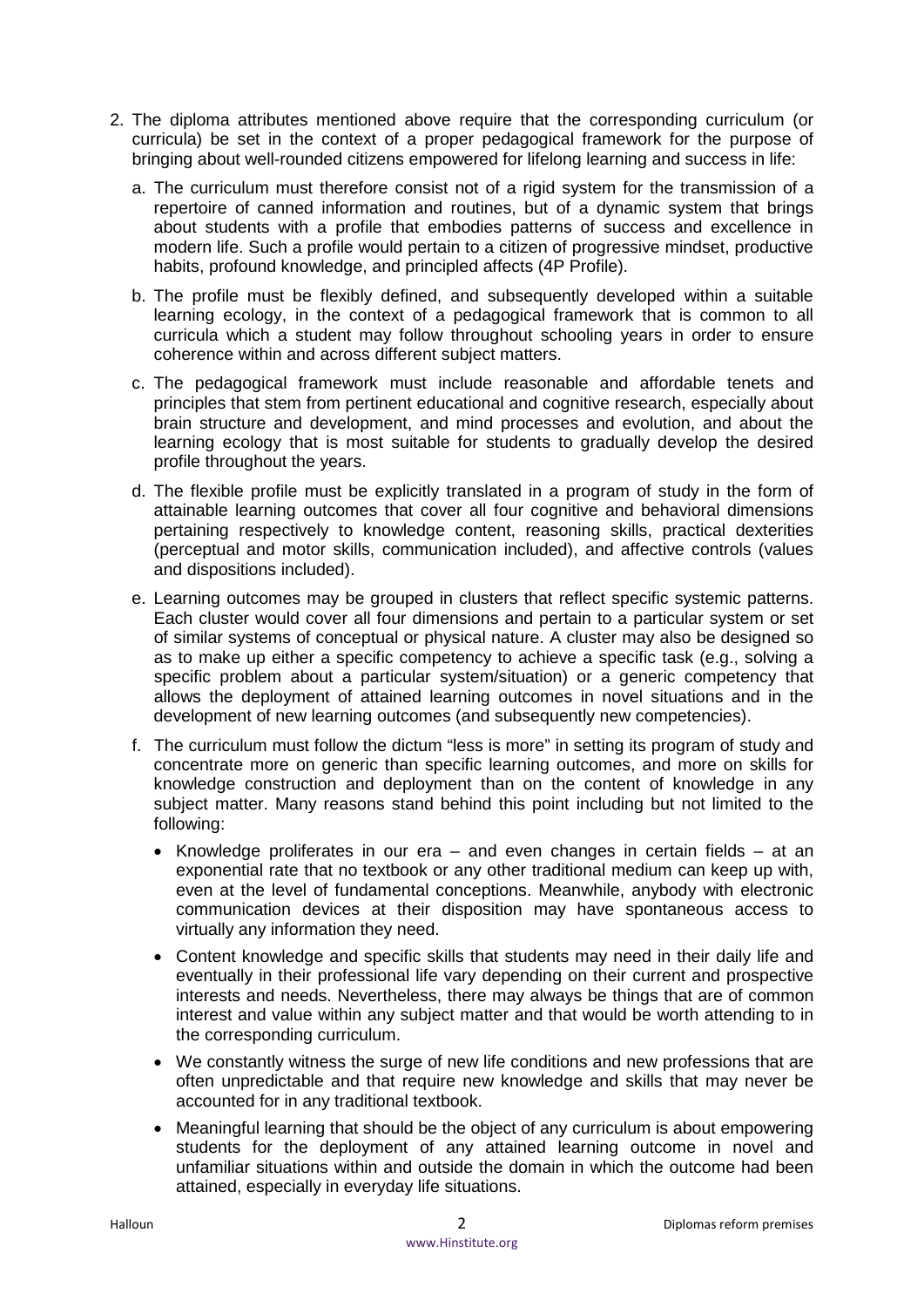- 2. The diploma attributes mentioned above require that the corresponding curriculum (or curricula) be set in the context of a proper pedagogical framework for the purpose of bringing about well-rounded citizens empowered for lifelong learning and success in life:
	- a. The curriculum must therefore consist not of a rigid system for the transmission of a repertoire of canned information and routines, but of a dynamic system that brings about students with a profile that embodies patterns of success and excellence in modern life. Such a profile would pertain to a citizen of progressive mindset, productive habits, profound knowledge, and principled affects (4P Profile).
	- b. The profile must be flexibly defined, and subsequently developed within a suitable learning ecology, in the context of a pedagogical framework that is common to all curricula which a student may follow throughout schooling years in order to ensure coherence within and across different subject matters.
	- c. The pedagogical framework must include reasonable and affordable tenets and principles that stem from pertinent educational and cognitive research, especially about brain structure and development, and mind processes and evolution, and about the learning ecology that is most suitable for students to gradually develop the desired profile throughout the years.
	- d. The flexible profile must be explicitly translated in a program of study in the form of attainable learning outcomes that cover all four cognitive and behavioral dimensions pertaining respectively to knowledge content, reasoning skills, practical dexterities (perceptual and motor skills, communication included), and affective controls (values and dispositions included).
	- e. Learning outcomes may be grouped in clusters that reflect specific systemic patterns. Each cluster would cover all four dimensions and pertain to a particular system or set of similar systems of conceptual or physical nature. A cluster may also be designed so as to make up either a specific competency to achieve a specific task (e.g., solving a specific problem about a particular system/situation) or a generic competency that allows the deployment of attained learning outcomes in novel situations and in the development of new learning outcomes (and subsequently new competencies).
	- f. The curriculum must follow the dictum "less is more" in setting its program of study and concentrate more on generic than specific learning outcomes, and more on skills for knowledge construction and deployment than on the content of knowledge in any subject matter. Many reasons stand behind this point including but not limited to the following:
		- Knowledge proliferates in our era and even changes in certain fields at an exponential rate that no textbook or any other traditional medium can keep up with, even at the level of fundamental conceptions. Meanwhile, anybody with electronic communication devices at their disposition may have spontaneous access to virtually any information they need.
		- Content knowledge and specific skills that students may need in their daily life and eventually in their professional life vary depending on their current and prospective interests and needs. Nevertheless, there may always be things that are of common interest and value within any subject matter and that would be worth attending to in the corresponding curriculum.
		- We constantly witness the surge of new life conditions and new professions that are often unpredictable and that require new knowledge and skills that may never be accounted for in any traditional textbook.
		- Meaningful learning that should be the object of any curriculum is about empowering students for the deployment of any attained learning outcome in novel and unfamiliar situations within and outside the domain in which the outcome had been attained, especially in everyday life situations.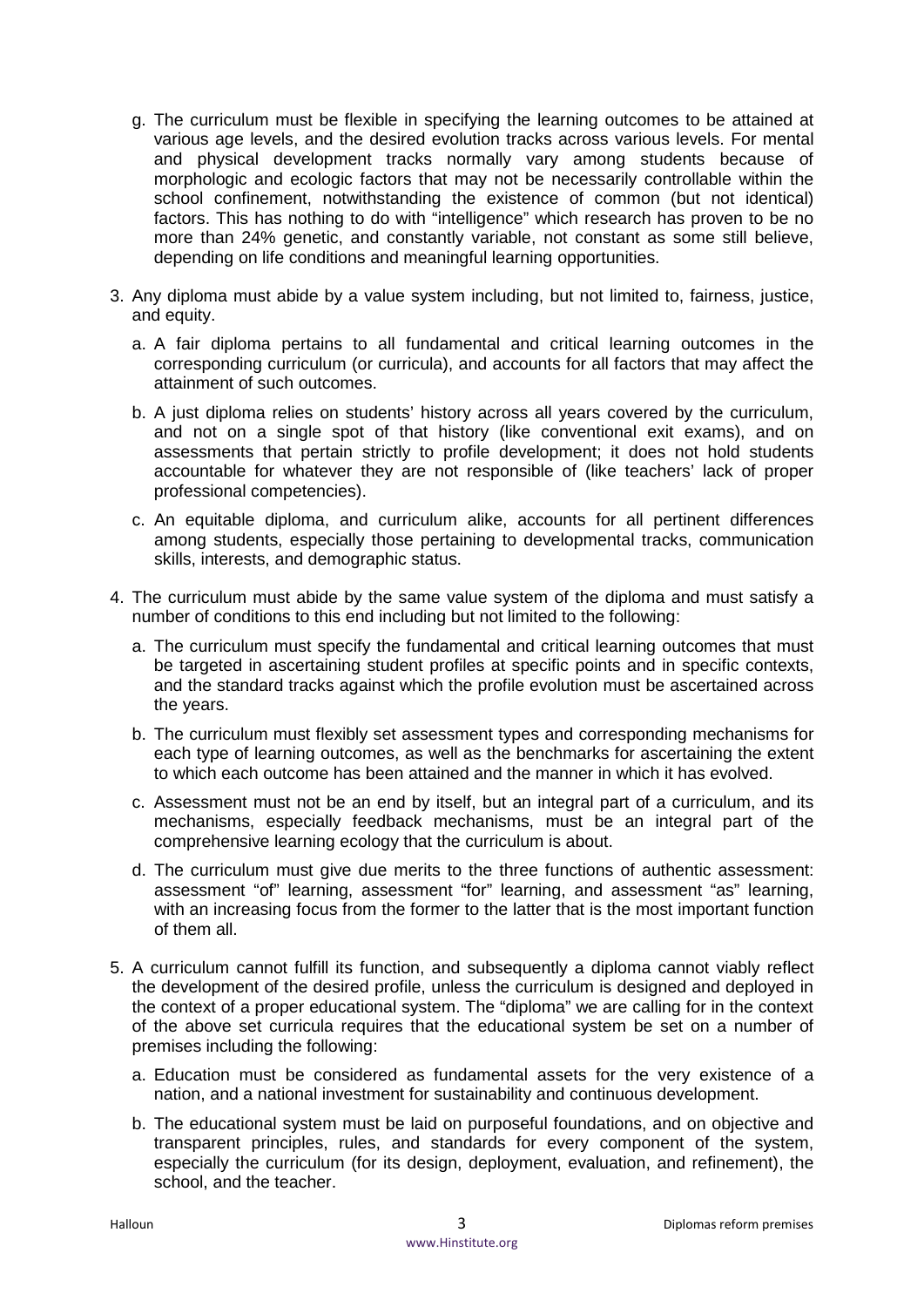- g. The curriculum must be flexible in specifying the learning outcomes to be attained at various age levels, and the desired evolution tracks across various levels. For mental and physical development tracks normally vary among students because of morphologic and ecologic factors that may not be necessarily controllable within the school confinement, notwithstanding the existence of common (but not identical) factors. This has nothing to do with "intelligence" which research has proven to be no more than 24% genetic, and constantly variable, not constant as some still believe, depending on life conditions and meaningful learning opportunities.
- 3. Any diploma must abide by a value system including, but not limited to, fairness, justice, and equity.
	- a. A fair diploma pertains to all fundamental and critical learning outcomes in the corresponding curriculum (or curricula), and accounts for all factors that may affect the attainment of such outcomes.
	- b. A just diploma relies on students' history across all years covered by the curriculum, and not on a single spot of that history (like conventional exit exams), and on assessments that pertain strictly to profile development; it does not hold students accountable for whatever they are not responsible of (like teachers' lack of proper professional competencies).
	- c. An equitable diploma, and curriculum alike, accounts for all pertinent differences among students, especially those pertaining to developmental tracks, communication skills, interests, and demographic status.
- 4. The curriculum must abide by the same value system of the diploma and must satisfy a number of conditions to this end including but not limited to the following:
	- a. The curriculum must specify the fundamental and critical learning outcomes that must be targeted in ascertaining student profiles at specific points and in specific contexts, and the standard tracks against which the profile evolution must be ascertained across the years.
	- b. The curriculum must flexibly set assessment types and corresponding mechanisms for each type of learning outcomes, as well as the benchmarks for ascertaining the extent to which each outcome has been attained and the manner in which it has evolved.
	- c. Assessment must not be an end by itself, but an integral part of a curriculum, and its mechanisms, especially feedback mechanisms, must be an integral part of the comprehensive learning ecology that the curriculum is about.
	- d. The curriculum must give due merits to the three functions of authentic assessment: assessment "of" learning, assessment "for" learning, and assessment "as" learning, with an increasing focus from the former to the latter that is the most important function of them all.
- 5. A curriculum cannot fulfill its function, and subsequently a diploma cannot viably reflect the development of the desired profile, unless the curriculum is designed and deployed in the context of a proper educational system. The "diploma" we are calling for in the context of the above set curricula requires that the educational system be set on a number of premises including the following:
	- a. Education must be considered as fundamental assets for the very existence of a nation, and a national investment for sustainability and continuous development.
	- b. The educational system must be laid on purposeful foundations, and on objective and transparent principles, rules, and standards for every component of the system, especially the curriculum (for its design, deployment, evaluation, and refinement), the school, and the teacher.